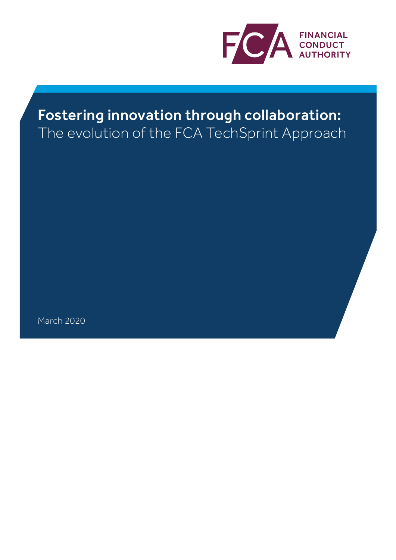

# Fostering innovation through collaboration: The evolution of the FCA TechSprint Approach

March 2020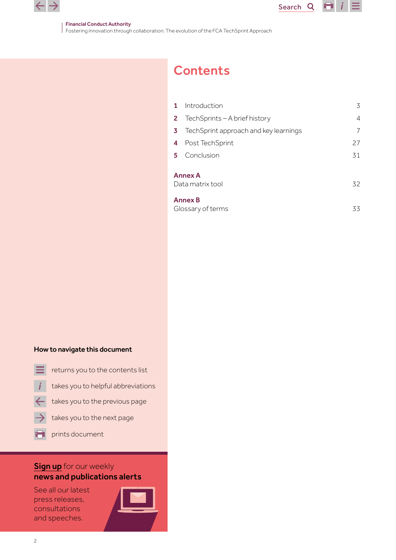

E I

#### Financial Conduct Authority

Fostering innovation through collaboration: The evolution of the FCA TechSprint Approach

# **Contents**

| $\mathbf{1}$                             | Introduction                               | 3  |  |  |  |
|------------------------------------------|--------------------------------------------|----|--|--|--|
|                                          | <b>2</b> TechSprints - A brief history     | 4  |  |  |  |
| 3                                        | TechSprint approach and key learnings<br>7 |    |  |  |  |
| 4                                        | Post TechSprint                            | 27 |  |  |  |
| 5.                                       | Conclusion                                 | 31 |  |  |  |
| <b>Annex A</b><br>Data matrix tool<br>32 |                                            |    |  |  |  |
| <b>Annex B</b><br>Glossary of terms      |                                            |    |  |  |  |

#### How to navigate this document

- 
- returns you to the contents list<br>takes you to helpful abbreviations
- takes you to the previous page
- takes you to the next page
	- prints document

# **[Sign up](https://www.fca.org.uk/news-and-publications-weekly-email-alerts?doc=#utm_source=signup&utm_medium=document&utm_campaign=newsandpubs)** for our weekly news and publications alerts

See all our latest press releases, consultations and speeches.

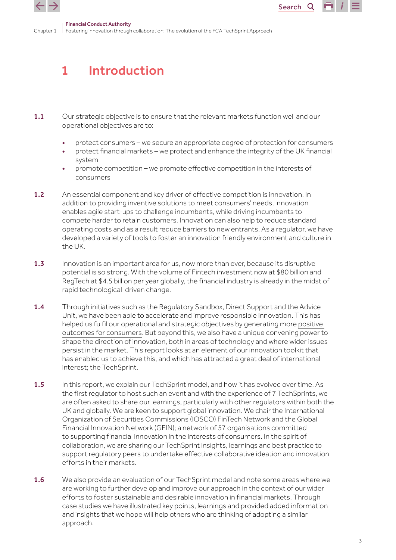<span id="page-2-0"></span>



# 1 Introduction

- 1.1 Our strategic objective is to ensure that the relevant markets function well and our operational objectives are to:
	- protect consumers we secure an appropriate degree of protection for consumers
	- protect financial markets we protect and enhance the integrity of the UK financial system
	- promote competition we promote effective competition in the interests of consumers
- 1.2 An essential component and key driver of effective competition is innovation. In addition to providing inventive solutions to meet consumers' needs, innovation enables agile start-ups to challenge incumbents, while driving incumbents to compete harder to retain customers. Innovation can also help to reduce standard operating costs and as a result reduce barriers to new entrants. As a regulator, we have developed a variety of tools to foster an innovation friendly environment and culture in the UK.
- 1.3 Innovation is an important area for us, now more than ever, because its disruptive potential is so strong. With the volume of Fintech investment now at \$80 billion and RegTech at \$4.5 billion per year globally, the financial industry is already in the midst of rapid technological-driven change.
- 1.4 Through initiatives such as the Regulatory Sandbox, Direct Support and the Advice Unit, we have been able to accelerate and improve responsible innovation. This has helped us fulfil our operational and strategic objectives by generating more [positive](https://www.fca.org.uk/publications/research/impact-and-effectiveness-innovate)  [outcomes for consumers.](https://www.fca.org.uk/publications/research/impact-and-effectiveness-innovate) But beyond this, we also have a unique convening power to shape the direction of innovation, both in areas of technology and where wider issues persist in the market. This report looks at an element of our innovation toolkit that has enabled us to achieve this, and which has attracted a great deal of international interest; the TechSprint.
- 1.5 In this report, we explain our TechSprint model, and how it has evolved over time. As the first regulator to host such an event and with the experience of 7 TechSprints, we are often asked to share our learnings, particularly with other regulators within both the UK and globally. We are keen to support global innovation. We chair the International Organization of Securities Commissions (IOSCO) FinTech Network and the Global Financial Innovation Network (GFIN); a network of 57 organisations committed to supporting financial innovation in the interests of consumers. In the spirit of collaboration, we are sharing our TechSprint insights, learnings and best practice to support regulatory peers to undertake effective collaborative ideation and innovation efforts in their markets.
- **1.6** We also provide an evaluation of our TechSprint model and note some areas where we are working to further develop and improve our approach in the context of our wider efforts to foster sustainable and desirable innovation in financial markets. Through case studies we have illustrated key points, learnings and provided added information and insights that we hope will help others who are thinking of adopting a similar approach.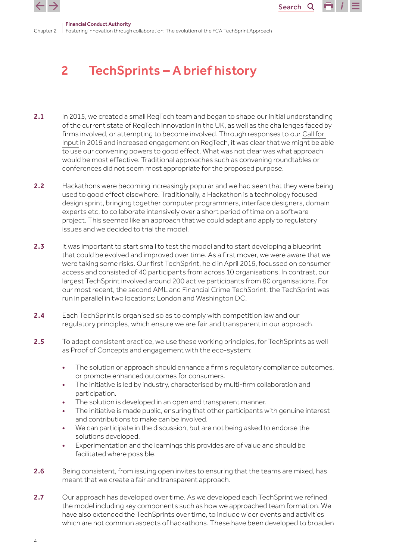<span id="page-3-0"></span>



#### Chanter 2 Financial Conduct Authority Fostering innovation through collaboration: The evolution of the FCA TechSprint Approach

# 2 TechSprints – A brief history

- 2.1 In 2015, we created a small RegTech team and began to shape our initial understanding of the current state of RegTech innovation in the UK, as well as the challenges faced by firms involved, or attempting to become involved. Through responses to our [Call for](https://www.fca.org.uk/publication/call-for-input/regtech-call-for-input.pdf)  [Input](https://www.fca.org.uk/publication/call-for-input/regtech-call-for-input.pdf) in 2016 and increased engagement on RegTech, it was clear that we might be able to use our convening powers to good effect. What was not clear was what approach would be most effective. Traditional approaches such as convening roundtables or conferences did not seem most appropriate for the proposed purpose.
- 2.2 Hackathons were becoming increasingly popular and we had seen that they were being used to good effect elsewhere. Traditionally, a Hackathon is a technology focused design sprint, bringing together computer programmers, interface designers, domain experts etc, to collaborate intensively over a short period of time on a software project. This seemed like an approach that we could adapt and apply to regulatory issues and we decided to trial the model.
- 2.3 It was important to start small to test the model and to start developing a blueprint that could be evolved and improved over time. As a first mover, we were aware that we were taking some risks. Our first TechSprint, held in April 2016, focussed on consumer access and consisted of 40 participants from across 10 organisations. In contrast, our largest TechSprint involved around 200 active participants from 80 organisations. For our most recent, the second AML and Financial Crime TechSprint, the TechSprint was run in parallel in two locations; London and Washington DC.
- **2.4** Each TechSprint is organised so as to comply with competition law and our regulatory principles, which ensure we are fair and transparent in our approach.
- 2.5 To adopt consistent practice, we use these working principles, for TechSprints as well as Proof of Concepts and engagement with the eco-system:
	- The solution or approach should enhance a firm's regulatory compliance outcomes, or promote enhanced outcomes for consumers.
	- The initiative is led by industry, characterised by multi-firm collaboration and participation.
	- The solution is developed in an open and transparent manner.
	- The initiative is made public, ensuring that other participants with genuine interest and contributions to make can be involved.
	- We can participate in the discussion, but are not being asked to endorse the solutions developed.
	- Experimentation and the learnings this provides are of value and should be facilitated where possible.
- 2.6 Being consistent, from issuing open invites to ensuring that the teams are mixed, has meant that we create a fair and transparent approach.
- 2.7 Our approach has developed over time. As we developed each TechSprint we refined the model including key components such as how we approached team formation. We have also extended the TechSprints over time, to include wider events and activities which are not common aspects of hackathons. These have been developed to broaden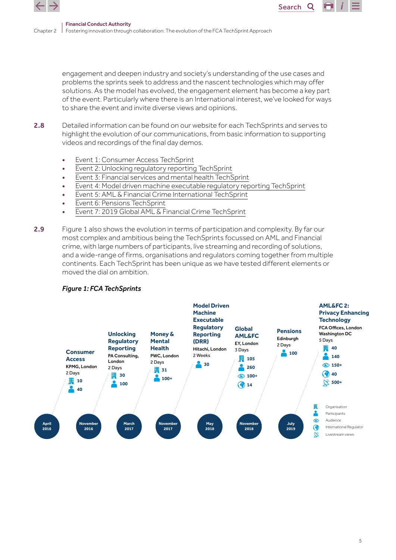

engagement and deepen industry and society's understanding of the use cases and problems the sprints seek to address and the nascent technologies which may offer solutions. As the model has evolved, the engagement element has become a key part of the event. Particularly where there is an International interest, we've looked for ways to share the event and invite diverse views and opinions.

Search<sub>Q</sub>

- 2.8 Detailed information can be found on our website for each TechSprints and serves to highlight the evolution of our communications, from basic information to supporting videos and recordings of the final day demos.
	- [Event 1: Consumer Access TechSprint](https://www.fca.org.uk/events/techsprints/consumer-access-techsprint)
	- [Event 2: Unlocking regulatory reporting TechSprint](https://www.fca.org.uk/events/techsprints/unlocking-regulatory-reporting-techsprint)
	- [Event 3: Financial services and mental health TechSprint](https://www.fca.org.uk/events/techsprints/financial-services-and-mental-health-techsprint)
	- [Event 4: Model driven machine executable regulatory reporting TechSprint](https://www.fca.org.uk/events/techsprints/model-driven-machine-executable-regulatory-reporting-techsprint)
	- [Event 5: AML & Financial Crime International TechSprint](https://www.fca.org.uk/events/techsprints/aml-financial-crime-international-techsprint)
	- [Event 6: Pensions TechSprint](https://www.fca.org.uk/firms/regtech/pensions-techsprint)
	- [Event 7: 2019 Global AML & Financial Crime TechSprint](https://www.fca.org.uk/events/techsprints/2019-global-aml-and-financial-crime-techsprint)
- 2.9 Figure 1 also shows the evolution in terms of participation and complexity. By far our most complex and ambitious being the TechSprints focussed on AML and Financial crime, with large numbers of participants, live streaming and recording of solutions, and a wide-range of firms, organisations and regulators coming together from multiple continents. Each TechSprint has been unique as we have tested different elements or moved the dial on ambition.



### *Figure 1: FCA TechSprints*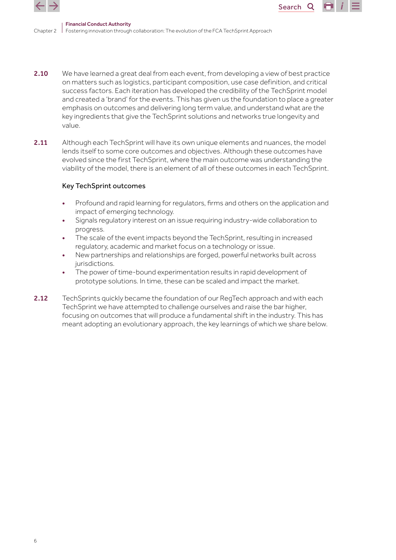

2.10 We have learned a great deal from each event, from developing a view of best practice on matters such as logistics, participant composition, use case definition, and critical success factors. Each iteration has developed the credibility of the TechSprint model and created a 'brand' for the events. This has given us the foundation to place a greater emphasis on outcomes and delivering long term value, and understand what are the key ingredients that give the TechSprint solutions and networks true longevity and value.

Search<sub>Q</sub>

2.11 Although each TechSprint will have its own unique elements and nuances, the model lends itself to some core outcomes and objectives. Although these outcomes have evolved since the first TechSprint, where the main outcome was understanding the viability of the model, there is an element of all of these outcomes in each TechSprint.

### Key TechSprint outcomes

- Profound and rapid learning for regulators, firms and others on the application and impact of emerging technology.
- Signals regulatory interest on an issue requiring industry-wide collaboration to progress.
- The scale of the event impacts beyond the TechSprint, resulting in increased regulatory, academic and market focus on a technology or issue.
- New partnerships and relationships are forged, powerful networks built across jurisdictions.
- The power of time-bound experimentation results in rapid development of prototype solutions. In time, these can be scaled and impact the market.
- 2.12 TechSprints quickly became the foundation of our ReqTech approach and with each TechSprint we have attempted to challenge ourselves and raise the bar higher, focusing on outcomes that will produce a fundamental shift in the industry. This has meant adopting an evolutionary approach, the key learnings of which we share below.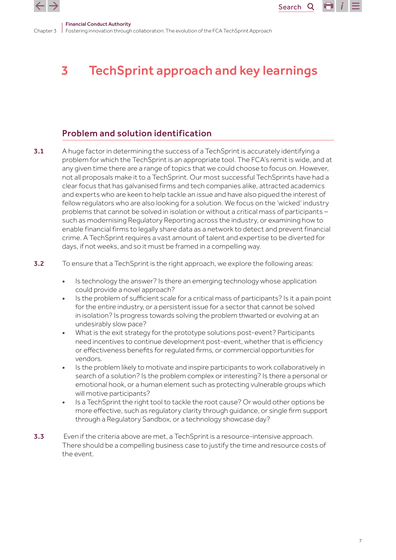<span id="page-6-0"></span>

Search<sub>Q</sub>

Chapter 3 Fostering innovation through collaboration: The evolution of the FCA TechSprint Approach Financial Conduct Authority

# 3 TechSprint approach and key learnings

# Problem and solution identification

- 3.1 A huge factor in determining the success of a TechSprint is accurately identifying a problem for which the TechSprint is an appropriate tool. The FCA's remit is wide, and at any given time there are a range of topics that we could choose to focus on. However, not all proposals make it to a TechSprint. Our most successful TechSprints have had a clear focus that has galvanised firms and tech companies alike, attracted academics and experts who are keen to help tackle an issue and have also piqued the interest of fellow regulators who are also looking for a solution. We focus on the 'wicked' industry problems that cannot be solved in isolation or without a critical mass of participants – such as modernising Regulatory Reporting across the industry, or examining how to enable financial firms to legally share data as a network to detect and prevent financial crime. A TechSprint requires a vast amount of talent and expertise to be diverted for days, if not weeks, and so it must be framed in a compelling way.
- **3.2** To ensure that a TechSprint is the right approach, we explore the following areas:
	- Is technology the answer? Is there an emerging technology whose application could provide a novel approach?
	- Is the problem of sufficient scale for a critical mass of participants? Is it a pain point for the entire industry, or a persistent issue for a sector that cannot be solved in isolation? Is progress towards solving the problem thwarted or evolving at an undesirably slow pace?
	- What is the exit strategy for the prototype solutions post-event? Participants need incentives to continue development post-event, whether that is efficiency or effectiveness benefits for regulated firms, or commercial opportunities for vendors.
	- Is the problem likely to motivate and inspire participants to work collaboratively in search of a solution? Is the problem complex or interesting? Is there a personal or emotional hook, or a human element such as protecting vulnerable groups which will motive participants?
	- Is a TechSprint the right tool to tackle the root cause? Or would other options be more effective, such as regulatory clarity through guidance, or single firm support through a Regulatory Sandbox, or a technology showcase day?
- **3.3** Even if the criteria above are met, a TechSprint is a resource-intensive approach. There should be a compelling business case to justify the time and resource costs of the event.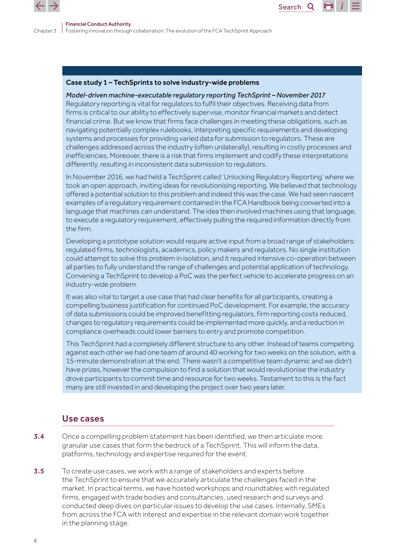

### Case study 1 – TechSprints to solve industry-wide problems

## *Model-driven machine-executable regulatory reporting TechSprint – November 2017*

Regulatory reporting is vital for regulators to fulfil their objectives. Receiving data from firms is critical to our ability to effectively supervise, monitor financial markets and detect financial crime. But we know that firms face challenges in meeting these obligations, such as navigating potentially complex rulebooks, interpreting specific requirements and developing systems and processes for providing varied data for submission to regulators. These are challenges addressed across the industry (often unilaterally), resulting in costly processes and inefficiencies. Moreover, there is a risk that firms implement and codify these interpretations differently, resulting in inconsistent data submission to regulators.

Search<sub>Q</sub>

In November 2016, we had held a TechSprint called 'Unlocking Regulatory Reporting' where we took an open approach, inviting ideas for revolutionising reporting. We believed that technology offered a potential solution to this problem and indeed this was the case. We had seen nascent examples of a regulatory requirement contained in the FCA Handbook being converted into a language that machines can understand. The idea then involved machines using that language, to execute a regulatory requirement, effectively pulling the required information directly from the firm.

Developing a prototype solution would require active input from a broad range of stakeholders: regulated firms, technologists, academics, policy makers and regulators. No single institution could attempt to solve this problem in isolation, and it required intensive co-operation between all parties to fully understand the range of challenges and potential application of technology. Convening a TechSprint to develop a PoC was the perfect vehicle to accelerate progress on an industry-wide problem.

It was also vital to target a use case that had clear benefits for all participants, creating a compelling business justification for continued PoC development. For example, the accuracy of data submissions could be improved benefitting regulators, firm reporting costs reduced, changes to regulatory requirements could be implemented more quickly, and a reduction in compliance overheads could lower barriers to entry and promote competition.

This TechSprint had a completely different structure to any other. Instead of teams competing against each other we had one team of around 40 working for two weeks on the solution, with a 15-minute demonstration at the end. There wasn't a competitive team dynamic and we didn't have prizes, however the compulsion to find a solution that would revolutionise the industry drove participants to commit time and resource for two weeks. Testament to this is the fact many are still invested in and developing the project over two years later.

# Use cases

- 3.4 Once a compelling problem statement has been identified, we then articulate more granular use cases that form the bedrock of a TechSprint. This will inform the data, platforms, technology and expertise required for the event.
- **3.5** To create use cases, we work with a range of stakeholders and experts before the TechSprint to ensure that we accurately articulate the challenges faced in the market. In practical terms, we have hosted workshops and roundtables with regulated firms, engaged with trade bodies and consultancies, used research and surveys and conducted deep dives on particular issues to develop the use cases. Internally, SMEs from across the FCA with interest and expertise in the relevant domain work together in the planning stage.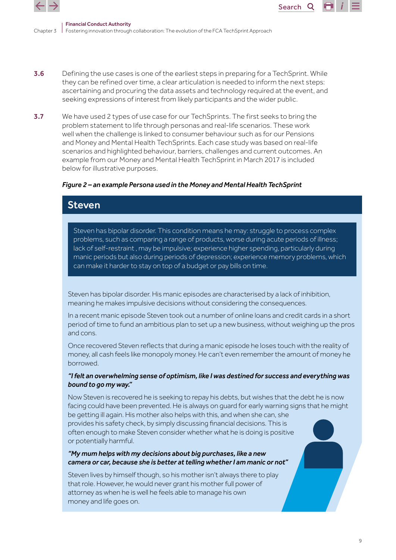

Chapter 3 Financial Conduct Authority Fostering innovation through collaboration: The evolution of the FCA TechSprint Approach

3.6 Defining the use cases is one of the earliest steps in preparing for a TechSprint. While they can be refined over time, a clear articulation is needed to inform the next steps: ascertaining and procuring the data assets and technology required at the event, and seeking expressions of interest from likely participants and the wider public.

Search<sub>Q</sub>

3.7 We have used 2 types of use case for our TechSprints. The first seeks to bring the problem statement to life through personas and real-life scenarios. These work well when the challenge is linked to consumer behaviour such as for our Pensions and Money and Mental Health TechSprints. Each case study was based on real-life scenarios and highlighted behaviour, barriers, challenges and current outcomes. An example from our Money and Mental Health TechSprint in March 2017 is included below for illustrative purposes.

### *Figure 2 – an example Persona used in the Money and Mental Health TechSprint*

# Steven Steven

Steven has bipolar disorder. This condition means he may: struggle to process complex problems, such as comparing a range of products, worse during acute periods of illness; lack of self-restraint , may be impulsive; experience higher spending, particularly during manic periods but also during periods of depression; experience memory problems, which can make it harder to stay on top of a budget or pay bills on time.

Steven has bipolar disorder. His manic episodes are characterised by a lack of inhibition, meaning he makes impulsive decisions without considering the consequences.

In a recent manic episode Steven took out a number of online loans and credit cards in a short period of time to fund an ambitious plan to set up a new business, without weighing up the pros and cons.

Once recovered Steven reflects that during a manic episode he loses touch with the reality of money, all cash feels like monopoly money. He can't even remember the amount of money he borrowed.

### *"I felt an overwhelming sense of optimism, like I was destined for success and everything was bound to go my way."*

Now Steven is recovered he is seeking to repay his debts, but wishes that the debt he is now facing could have been prevented. He is always on guard for early warning signs that he might be getting ill again. His mother also helps with this, and when she can, she provides his safety check, by simply discussing financial decisions. This is often enough to make Steven consider whether what he is doing is positive or potentially harmful.

### *"My mum helps with my decisions about big purchases, like a new camera or car, because she is better at telling whether I am manic or not"*

Steven lives by himself though, so his mother isn't always there to play that role. However, he would never grant his mother full power of attorney as when he is well he feels able to manage his own money and life goes on.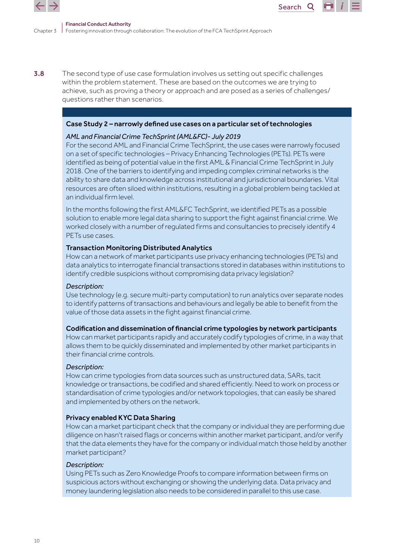

3.8 The second type of use case formulation involves us setting out specific challenges within the problem statement. These are based on the outcomes we are trying to achieve, such as proving a theory or approach and are posed as a series of challenges/ questions rather than scenarios.

### Case Study 2 – narrowly defined use cases on a particular set of technologies

### *AML and Financial Crime TechSprint (AML&FC)- July 2019*

For the second AML and Financial Crime TechSprint, the use cases were narrowly focused on a set of specific technologies – Privacy Enhancing Technologies (PETs). PETs were identified as being of potential value in the first AML & Financial Crime TechSprint in July 2018. One of the barriers to identifying and impeding complex criminal networks is the ability to share data and knowledge across institutional and jurisdictional boundaries. Vital resources are often siloed within institutions, resulting in a global problem being tackled at an individual firm level.

Search<sub>Q</sub>

In the months following the first AML&FC TechSprint, we identified PETs as a possible solution to enable more legal data sharing to support the fight against financial crime. We worked closely with a number of regulated firms and consultancies to precisely identify 4 PETs use cases.

### Transaction Monitoring Distributed Analytics

How can a network of market participants use privacy enhancing technologies (PETs) and data analytics to interrogate financial transactions stored in databases within institutions to identify credible suspicions without compromising data privacy legislation?

### *Description:*

Use technology (e.g. secure multi-party computation) to run analytics over separate nodes to identify patterns of transactions and behaviours and legally be able to benefit from the value of those data assets in the fight against financial crime.

### Codification and dissemination of financial crime typologies by network participants

How can market participants rapidly and accurately codify typologies of crime, in a way that allows them to be quickly disseminated and implemented by other market participants in their financial crime controls.

### *Description:*

How can crime typologies from data sources such as unstructured data, SARs, tacit knowledge or transactions, be codified and shared efficiently. Need to work on process or standardisation of crime typologies and/or network topologies, that can easily be shared and implemented by others on the network.

### Privacy enabled KYC Data Sharing

How can a market participant check that the company or individual they are performing due diligence on hasn't raised flags or concerns within another market participant, and/or verify that the data elements they have for the company or individual match those held by another market participant?

### *Description:*

Using PETs such as Zero Knowledge Proofs to compare information between firms on suspicious actors without exchanging or showing the underlying data. Data privacy and money laundering legislation also needs to be considered in parallel to this use case.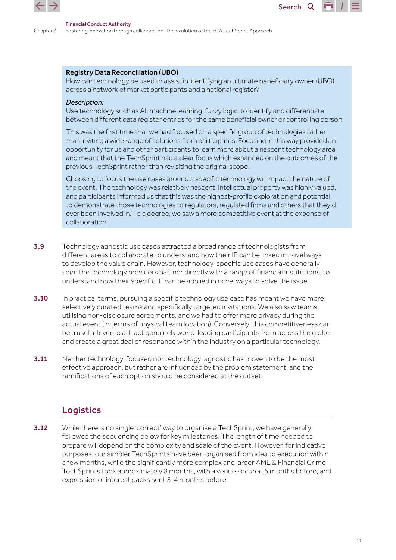

### Registry Data Reconciliation (UBO)

How can technology be used to assist in identifying an ultimate beneficiary owner (UBO) across a network of market participants and a national register?

Search<sub>Q</sub>

#### *Description:*

Use technology such as AI, machine learning, fuzzy logic, to identify and differentiate between different data register entries for the same beneficial owner or controlling person.

This was the first time that we had focused on a specific group of technologies rather than inviting a wide range of solutions from participants. Focusing in this way provided an opportunity for us and other participants to learn more about a nascent technology area and meant that the TechSprint had a clear focus which expanded on the outcomes of the previous TechSprint rather than revisiting the original scope.

Choosing to focus the use cases around a specific technology will impact the nature of the event. The technology was relatively nascent, intellectual property was highly valued, and participants informed us that this was the highest-profile exploration and potential to demonstrate those technologies to regulators, regulated firms and others that they'd ever been involved in. To a degree, we saw a more competitive event at the expense of collaboration.

- **3.9** Technology agnostic use cases attracted a broad range of technologists from different areas to collaborate to understand how their IP can be linked in novel ways to develop the value chain. However, technology-specific use cases have generally seen the technology providers partner directly with a range of financial institutions, to understand how their specific IP can be applied in novel ways to solve the issue.
- 3.10 In practical terms, pursuing a specific technology use case has meant we have more selectively curated teams and specifically targeted invitations. We also saw teams utilising non-disclosure agreements, and we had to offer more privacy during the actual event (in terms of physical team location). Conversely, this competitiveness can be a useful lever to attract genuinely world-leading participants from across the globe and create a great deal of resonance within the industry on a particular technology.
- 3.11 Neither technology-focused nor technology-agnostic has proven to be the most effective approach, but rather are influenced by the problem statement, and the ramifications of each option should be considered at the outset.

## Logistics

**3.12** While there is no single 'correct' way to organise a TechSprint, we have generally followed the sequencing below for key milestones. The length of time needed to prepare will depend on the complexity and scale of the event. However, for indicative purposes, our simpler TechSprints have been organised from idea to execution within a few months, while the significantly more complex and larger AML & Financial Crime TechSprints took approximately 8 months, with a venue secured 6 months before, and expression of interest packs sent 3-4 months before.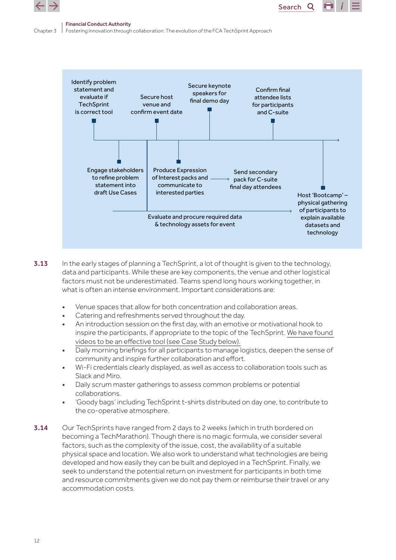



- **3.13** In the early stages of planning a TechSprint, a lot of thought is given to the technology, data and participants. While these are key components, the venue and other logistical factors must not be underestimated. Teams spend long hours working together, in what is often an intense environment. Important considerations are:
	- Venue spaces that allow for both concentration and collaboration areas.
	- Catering and refreshments served throughout the day.
	- An introduction session on the first day, with an emotive or motivational hook to inspire the participants, if appropriate to the topic of the TechSprint. [We have found](https://play.buto.tv/9ZVk3)  [videos to be an effective tool](https://play.buto.tv/9ZVk3) (see Case Study below).
	- Daily morning briefings for all participants to manage logistics, deepen the sense of community and inspire further collaboration and effort.
	- Wi-Fi credentials clearly displayed, as well as access to collaboration tools such as Slack and Miro.
	- Daily scrum master gatherings to assess common problems or potential collaborations.
	- 'Goody bags' including TechSprint t-shirts distributed on day one, to contribute to the co-operative atmosphere.
- 3.14 Our TechSprints have ranged from 2 days to 2 weeks (which in truth bordered on becoming a TechMarathon). Though there is no magic formula, we consider several factors, such as the complexity of the issue, cost, the availability of a suitable physical space and location. We also work to understand what technologies are being developed and how easily they can be built and deployed in a TechSprint. Finally, we seek to understand the potential return on investment for participants in both time and resource commitments given we do not pay them or reimburse their travel or any accommodation costs.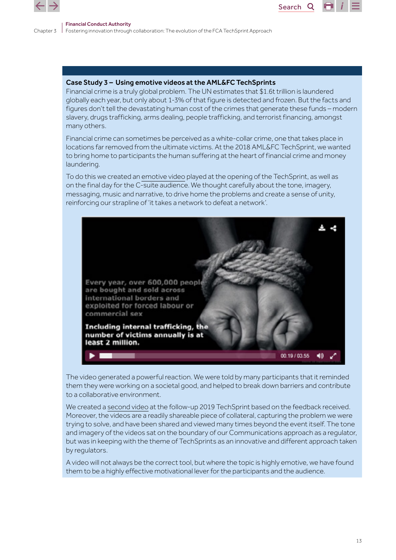

### Case Study 3 – Using emotive videos at the AML&FC TechSprints

Financial crime is a truly global problem. The UN estimates that \$1.6t trillion is laundered globally each year, but only about 1-3% of that figure is detected and frozen. But the facts and figures don't tell the devastating human cost of the crimes that generate these funds – modern slavery, drugs trafficking, arms dealing, people trafficking, and terrorist financing, amongst many others.

Search<sub>Q</sub>

Financial crime can sometimes be perceived as a white-collar crime, one that takes place in locations far removed from the ultimate victims. At the 2018 AML&FC TechSprint, we wanted to bring home to participants the human suffering at the heart of financial crime and money laundering.

To do this we created an [emotive video](https://www.fca.org.uk/events/techsprints/aml-financial-crime-international-techsprint) played at the opening of the TechSprint, as well as on the final day for the C-suite audience. We thought carefully about the tone, imagery, messaging, music and narrative, to drive home the problems and create a sense of unity, reinforcing our strapline of 'it takes a network to defeat a network'.



The video generated a powerful reaction. We were told by many participants that it reminded them they were working on a societal good, and helped to break down barriers and contribute to a collaborative environment.

We created a [second video](https://www.fca.org.uk/events/techsprints/2019-global-aml-and-financial-crime-techsprint) at the follow-up 2019 TechSprint based on the feedback received. Moreover, the videos are a readily shareable piece of collateral, capturing the problem we were trying to solve, and have been shared and viewed many times beyond the event itself. The tone and imagery of the videos sat on the boundary of our Communications approach as a regulator, but was in keeping with the theme of TechSprints as an innovative and different approach taken by regulators.

A video will not always be the correct tool, but where the topic is highly emotive, we have found them to be a highly effective motivational lever for the participants and the audience.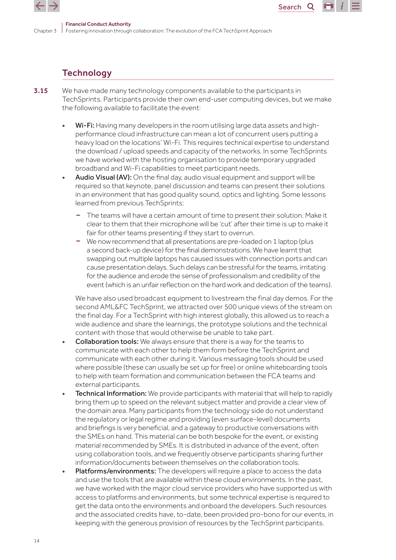

# **Technology**

- 3.15 We have made many technology components available to the participants in TechSprints. Participants provide their own end-user computing devices, but we make the following available to facilitate the event:
	- Wi-Fi: Having many developers in the room utilising large data assets and highperformance cloud infrastructure can mean a lot of concurrent users putting a heavy load on the locations' Wi-Fi. This requires technical expertise to understand the download / upload speeds and capacity of the networks. In some TechSprints we have worked with the hosting organisation to provide temporary upgraded broadband and Wi-Fi capabilities to meet participant needs.

Search<sub>Q</sub>

- Audio Visual (AV): On the final day, audio visual equipment and support will be required so that keynote, panel discussion and teams can present their solutions in an environment that has good quality sound, optics and lighting. Some lessons learned from previous TechSprints:
	- The teams will have a certain amount of time to present their solution. Make it clear to them that their microphone will be 'cut' after their time is up to make it fair for other teams presenting if they start to overrun.
	- We now recommend that all presentations are pre-loaded on 1 laptop (plus a second back-up device) for the final demonstrations. We have learnt that swapping out multiple laptops has caused issues with connection ports and can cause presentation delays. Such delays can be stressful for the teams, irritating for the audience and erode the sense of professionalism and credibility of the event (which is an unfair reflection on the hard work and dedication of the teams).

We have also used broadcast equipment to livestream the final day demos. For the second AML&FC TechSprint, we attracted over 500 unique views of the stream on the final day. For a TechSprint with high interest globally, this allowed us to reach a wide audience and share the learnings, the prototype solutions and the technical content with those that would otherwise be unable to take part.

- Collaboration tools: We always ensure that there is a way for the teams to communicate with each other to help them form before the TechSprint and communicate with each other during it. Various messaging tools should be used where possible (these can usually be set up for free) or online whiteboarding tools to help with team formation and communication between the FCA teams and external participants.
- Technical Information: We provide participants with material that will help to rapidly bring them up to speed on the relevant subject matter and provide a clear view of the domain area. Many participants from the technology side do not understand the regulatory or legal regime and providing (even surface-level) documents and briefings is very beneficial, and a gateway to productive conversations with the SMEs on hand. This material can be both bespoke for the event, or existing material recommended by SMEs. It is distributed in advance of the event, often using collaboration tools, and we frequently observe participants sharing further information/documents between themselves on the collaboration tools.
- Platforms/environments: The developers will require a place to access the data and use the tools that are available within these cloud environments. In the past, we have worked with the major cloud service providers who have supported us with access to platforms and environments, but some technical expertise is required to get the data onto the environments and onboard the developers. Such resources and the associated credits have, to-date, been provided pro-bono for our events, in keeping with the generous provision of resources by the TechSprint participants.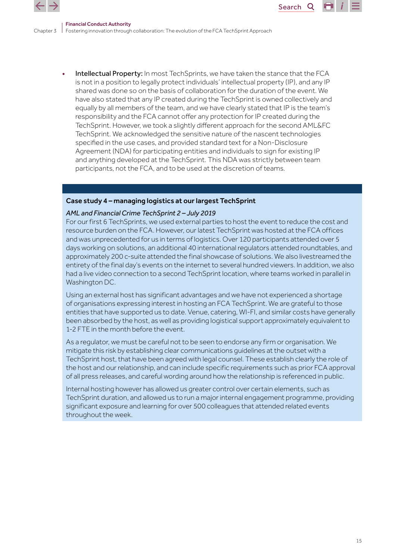

Intellectual Property: In most TechSprints, we have taken the stance that the FCA is not in a position to legally protect individuals' intellectual property (IP), and any IP shared was done so on the basis of collaboration for the duration of the event. We have also stated that any IP created during the TechSprint is owned collectively and equally by all members of the team, and we have clearly stated that IP is the team's responsibility and the FCA cannot offer any protection for IP created during the TechSprint. However, we took a slightly different approach for the second AML&FC TechSprint. We acknowledged the sensitive nature of the nascent technologies specified in the use cases, and provided standard text for a Non-Disclosure Agreement (NDA) for participating entities and individuals to sign for existing IP and anything developed at the TechSprint. This NDA was strictly between team participants, not the FCA, and to be used at the discretion of teams.

### Case study 4 – managing logistics at our largest TechSprint

### *AML and Financial Crime TechSprint 2 – July 2019*

For our first 6 TechSprints, we used external parties to host the event to reduce the cost and resource burden on the FCA. However, our latest TechSprint was hosted at the FCA offices and was unprecedented for us in terms of logistics. Over 120 participants attended over 5 days working on solutions, an additional 40 international regulators attended roundtables, and approximately 200 c-suite attended the final showcase of solutions. We also livestreamed the entirety of the final day's events on the internet to several hundred viewers. In addition, we also had a live video connection to a second TechSprint location, where teams worked in parallel in Washington DC.

Using an external host has significant advantages and we have not experienced a shortage of organisations expressing interest in hosting an FCA TechSprint. We are grateful to those entities that have supported us to date. Venue, catering, WI-FI, and similar costs have generally been absorbed by the host, as well as providing logistical support approximately equivalent to 1-2 FTE in the month before the event.

As a regulator, we must be careful not to be seen to endorse any firm or organisation. We mitigate this risk by establishing clear communications guidelines at the outset with a TechSprint host, that have been agreed with legal counsel. These establish clearly the role of the host and our relationship, and can include specific requirements such as prior FCA approval of all press releases, and careful wording around how the relationship is referenced in public.

Internal hosting however has allowed us greater control over certain elements, such as TechSprint duration, and allowed us to run a major internal engagement programme, providing significant exposure and learning for over 500 colleagues that attended related events throughout the week.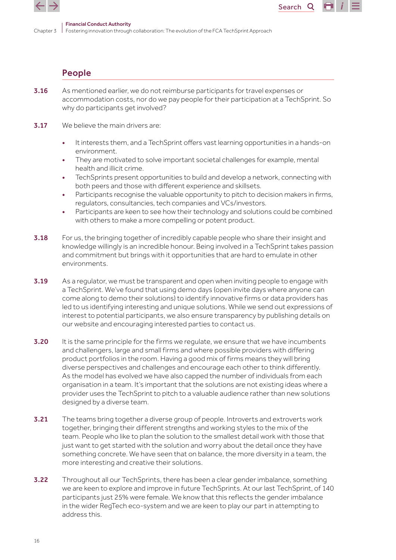

## People

- 3.16 As mentioned earlier, we do not reimburse participants for travel expenses or accommodation costs, nor do we pay people for their participation at a TechSprint. So why do participants get involved?
- **3.17** We believe the main drivers are:
	- It interests them, and a TechSprint offers vast learning opportunities in a hands-on environment.

Search<sub>Q</sub>

- They are motivated to solve important societal challenges for example, mental health and illicit crime.
- TechSprints present opportunities to build and develop a network, connecting with both peers and those with different experience and skillsets.
- Participants recognise the valuable opportunity to pitch to decision makers in firms, regulators, consultancies, tech companies and VCs/investors.
- Participants are keen to see how their technology and solutions could be combined with others to make a more compelling or potent product.
- 3.18 For us, the bringing together of incredibly capable people who share their insight and knowledge willingly is an incredible honour. Being involved in a TechSprint takes passion and commitment but brings with it opportunities that are hard to emulate in other environments.
- 3.19 As a regulator, we must be transparent and open when inviting people to engage with a TechSprint. We've found that using demo days (open invite days where anyone can come along to demo their solutions) to identify innovative firms or data providers has led to us identifying interesting and unique solutions. While we send out expressions of interest to potential participants, we also ensure transparency by publishing details on our website and encouraging interested parties to contact us.
- 3.20 It is the same principle for the firms we regulate, we ensure that we have incumbents and challengers, large and small firms and where possible providers with differing product portfolios in the room. Having a good mix of firms means they will bring diverse perspectives and challenges and encourage each other to think differently. As the model has evolved we have also capped the number of individuals from each organisation in a team. It's important that the solutions are not existing ideas where a provider uses the TechSprint to pitch to a valuable audience rather than new solutions designed by a diverse team.
- **3.21** The teams bring together a diverse group of people. Introverts and extroverts work together, bringing their different strengths and working styles to the mix of the team. People who like to plan the solution to the smallest detail work with those that just want to get started with the solution and worry about the detail once they have something concrete. We have seen that on balance, the more diversity in a team, the more interesting and creative their solutions.
- **3.22** Throughout all our TechSprints, there has been a clear gender imbalance, something we are keen to explore and improve in future TechSprints. At our last TechSprint, of 140 participants just 25% were female. We know that this reflects the gender imbalance in the wider RegTech eco-system and we are keen to play our part in attempting to address this.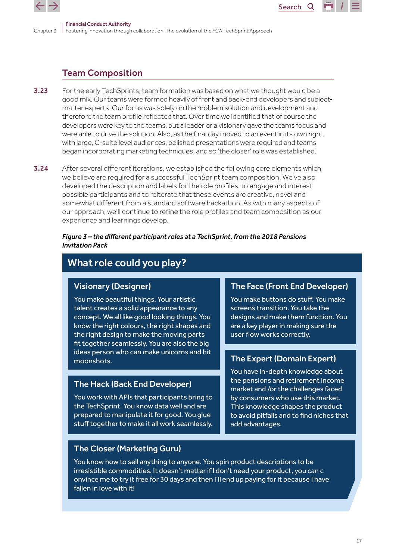

# Team Composition

- **3.23** For the early TechSprints, team formation was based on what we thought would be a good mix. Our teams were formed heavily of front and back-end developers and subjectmatter experts. Our focus was solely on the problem solution and development and therefore the team profile reflected that. Over time we identified that of course the developers were key to the teams, but a leader or a visionary gave the teams focus and were able to drive the solution. Also, as the final day moved to an event in its own right, with large, C-suite level audiences, polished presentations were required and teams began incorporating marketing techniques, and so 'the closer' role was established.
- **3.24** After several different iterations, we established the following core elements which we believe are required for a successful TechSprint team composition. We've also developed the description and labels for the role profiles, to engage and interest possible participants and to reiterate that these events are creative, novel and somewhat different from a standard software hackathon. As with many aspects of our approach, we'll continue to refine the role profiles and team composition as our experience and learnings develop.

### *Figure 3 – the different participant roles at a TechSprint, from the 2018 Pensions Invitation Pack*

# What role could you play?

### Visionary (Designer)

You make beautiful things. Your artistic talent creates a solid appearance to any concept. We all like good looking things. You know the right colours, the right shapes and the right design to make the moving parts fit together seamlessly. You are also the big ideas person who can make unicorns and hit moonshots.

## The Hack (Back End Developer)

You work with APIs that participants bring to the TechSprint. You know data well and are prepared to manipulate it for good. You glue stuff together to make it all work seamlessly.

### The Face (Front End Developer)

Search<sub>Q</sub>

You make buttons do stuff. You make screens transition. You take the designs and make them function. You are a key player in making sure the user flow works correctly.

## The Expert (Domain Expert)

You have in-depth knowledge about the pensions and retirement income market and /or the challenges faced by consumers who use this market. This knowledge shapes the product to avoid pitfalls and to find niches that add advantages.

## The Closer (Marketing Guru)

You know how to sell anything to anyone. You spin product descriptions to be irresistible commodities. It doesn't matter if I don't need your product, you can c onvince me to try it free for 30 days and then I'll end up paying for it because I have fallen in love with it!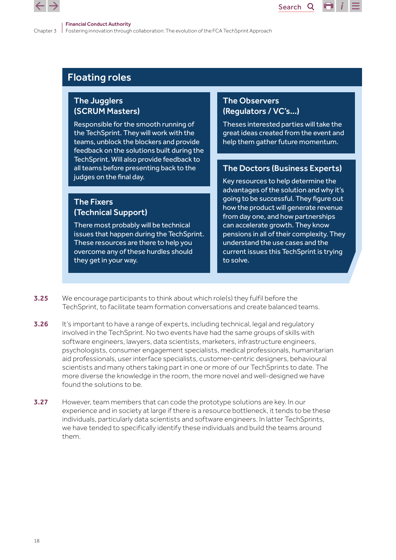

# Floating roles

## The Jugglers (SCRUM Masters)

Responsible for the smooth running of the TechSprint. They will work with the teams, unblock the blockers and provide feedback on the solutions built during the TechSprint. Will also provide feedback to all teams before presenting back to the judges on the final day.

## The Fixers (Technical Support)

There most probably will be technical issues that happen during the TechSprint. These resources are there to help you overcome any of these hurdles should they get in your way.

## The Observers (Regulators / VC's…)

Theses interested parties will take the great ideas created from the event and help them gather future momentum.

Search<sub>Q</sub>

## The Doctors (Business Experts)

Key resources to help determine the advantages of the solution and why it's going to be successful. They figure out how the product will generate revenue from day one, and how partnerships can accelerate growth. They know pensions in all of their complexity. They understand the use cases and the current issues this TechSprint is trying to solve.

- **3.25** We encourage participants to think about which role(s) they fulfil before the TechSprint, to facilitate team formation conversations and create balanced teams.
- 3.26 It's important to have a range of experts, including technical, legal and regulatory involved in the TechSprint. No two events have had the same groups of skills with software engineers, lawyers, data scientists, marketers, infrastructure engineers, psychologists, consumer engagement specialists, medical professionals, humanitarian aid professionals, user interface specialists, customer-centric designers, behavioural scientists and many others taking part in one or more of our TechSprints to date. The more diverse the knowledge in the room, the more novel and well-designed we have found the solutions to be.
- 3.27 However, team members that can code the prototype solutions are key. In our experience and in society at large if there is a resource bottleneck, it tends to be these individuals, particularly data scientists and software engineers. In latter TechSprints, we have tended to specifically identify these individuals and build the teams around them.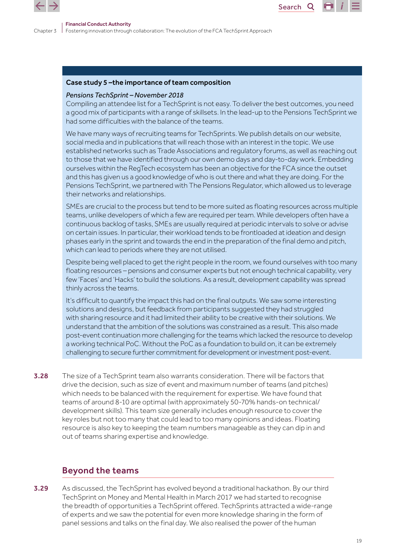

#### Case study 5 –the importance of team composition

#### *Pensions TechSprint – November 2018*

Compiling an attendee list for a TechSprint is not easy. To deliver the best outcomes, you need a good mix of participants with a range of skillsets. In the lead-up to the Pensions TechSprint we had some difficulties with the balance of the teams.

Search<sub>Q</sub>

We have many ways of recruiting teams for TechSprints. We publish details on our website, social media and in publications that will reach those with an interest in the topic. We use established networks such as Trade Associations and regulatory forums, as well as reaching out to those that we have identified through our own demo days and day-to-day work. Embedding ourselves within the RegTech ecosystem has been an objective for the FCA since the outset and this has given us a good knowledge of who is out there and what they are doing. For the Pensions TechSprint, we partnered with The Pensions Regulator, which allowed us to leverage their networks and relationships.

SMEs are crucial to the process but tend to be more suited as floating resources across multiple teams, unlike developers of which a few are required per team. While developers often have a continuous backlog of tasks, SMEs are usually required at periodic intervals to solve or advise on certain issues. In particular, their workload tends to be frontloaded at ideation and design phases early in the sprint and towards the end in the preparation of the final demo and pitch, which can lead to periods where they are not utilised.

Despite being well placed to get the right people in the room, we found ourselves with too many floating resources – pensions and consumer experts but not enough technical capability, very few 'Faces' and 'Hacks' to build the solutions. As a result, development capability was spread thinly across the teams.

It's difficult to quantify the impact this had on the final outputs. We saw some interesting solutions and designs, but feedback from participants suggested they had struggled with sharing resource and it had limited their ability to be creative with their solutions. We understand that the ambition of the solutions was constrained as a result. This also made post-event continuation more challenging for the teams which lacked the resource to develop a working technical PoC. Without the PoC as a foundation to build on, it can be extremely challenging to secure further commitment for development or investment post-event.

3.28 The size of a TechSprint team also warrants consideration. There will be factors that drive the decision, such as size of event and maximum number of teams (and pitches) which needs to be balanced with the requirement for expertise. We have found that teams of around 8-10 are optimal (with approximately 50-70% hands-on technical/ development skills). This team size generally includes enough resource to cover the key roles but not too many that could lead to too many opinions and ideas. Floating resource is also key to keeping the team numbers manageable as they can dip in and out of teams sharing expertise and knowledge.

### Beyond the teams

**3.29** As discussed, the TechSprint has evolved beyond a traditional hackathon. By our third TechSprint on Money and Mental Health in March 2017 we had started to recognise the breadth of opportunities a TechSprint offered. TechSprints attracted a wide-range of experts and we saw the potential for even more knowledge sharing in the form of panel sessions and talks on the final day. We also realised the power of the human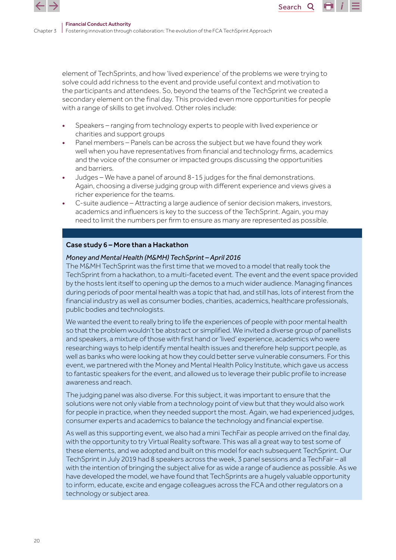element of TechSprints, and how 'lived experience' of the problems we were trying to solve could add richness to the event and provide useful context and motivation to the participants and attendees. So, beyond the teams of the TechSprint we created a secondary element on the final day. This provided even more opportunities for people with a range of skills to get involved. Other roles include:

Search<sub>Q</sub>

- Speakers ranging from technology experts to people with lived experience or charities and support groups
- Panel members Panels can be across the subject but we have found they work well when you have representatives from financial and technology firms, academics and the voice of the consumer or impacted groups discussing the opportunities and barriers.
- Judges We have a panel of around 8-15 judges for the final demonstrations. Again, choosing a diverse judging group with different experience and views gives a richer experience for the teams.
- C-suite audience Attracting a large audience of senior decision makers, investors, academics and influencers is key to the success of the TechSprint. Again, you may need to limit the numbers per firm to ensure as many are represented as possible.

### Case study 6 – More than a Hackathon

### *Money and Mental Health (M&MH) TechSprint – April 2016*

The M&MH TechSprint was the first time that we moved to a model that really took the TechSprint from a hackathon, to a multi-faceted event. The event and the event space provided by the hosts lent itself to opening up the demos to a much wider audience. Managing finances during periods of poor mental health was a topic that had, and still has, lots of interest from the financial industry as well as consumer bodies, charities, academics, healthcare professionals, public bodies and technologists.

We wanted the event to really bring to life the experiences of people with poor mental health so that the problem wouldn't be abstract or simplified. We invited a diverse group of panellists and speakers, a mixture of those with first hand or 'lived' experience, academics who were researching ways to help identify mental health issues and therefore help support people, as well as banks who were looking at how they could better serve vulnerable consumers. For this event, we partnered with the Money and Mental Health Policy Institute, which gave us access to fantastic speakers for the event, and allowed us to leverage their public profile to increase awareness and reach.

The judging panel was also diverse. For this subject, it was important to ensure that the solutions were not only viable from a technology point of view but that they would also work for people in practice, when they needed support the most. Again, we had experienced judges, consumer experts and academics to balance the technology and financial expertise.

As well as this supporting event, we also had a mini TechFair as people arrived on the final day, with the opportunity to try Virtual Reality software. This was all a great way to test some of these elements, and we adopted and built on this model for each subsequent TechSprint. Our TechSprint in July 2019 had 8 speakers across the week, 3 panel sessions and a TechFair – all with the intention of bringing the subject alive for as wide a range of audience as possible. As we have developed the model, we have found that TechSprints are a hugely valuable opportunity to inform, educate, excite and engage colleagues across the FCA and other regulators on a technology or subject area.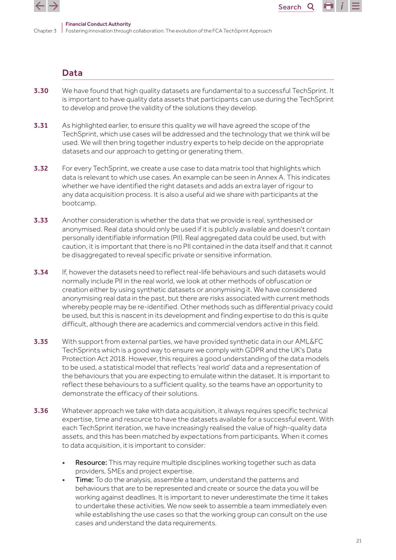

### Data

3.30 We have found that high quality datasets are fundamental to a successful TechSprint. It is important to have quality data assets that participants can use during the TechSprint to develop and prove the validity of the solutions they develop.

Search<sub>Q</sub>

- **3.31** As highlighted earlier, to ensure this quality we will have agreed the scope of the TechSprint, which use cases will be addressed and the technology that we think will be used. We will then bring together industry experts to help decide on the appropriate datasets and our approach to getting or generating them.
- **3.32** For every TechSprint, we create a use case to data matrix tool that highlights which data is relevant to which use cases. An example can be seen in Annex A. This indicates whether we have identified the right datasets and adds an extra layer of rigour to any data acquisition process. It is also a useful aid we share with participants at the bootcamp.
- **3.33** Another consideration is whether the data that we provide is real, synthesised or anonymised. Real data should only be used if it is publicly available and doesn't contain personally identifiable information (PII). Real aggregated data could be used, but with caution, it is important that there is no PII contained in the data itself and that it cannot be disaggregated to reveal specific private or sensitive information.
- **3.34** If, however the datasets need to reflect real-life behaviours and such datasets would normally include PII in the real world, we look at other methods of obfuscation or creation either by using synthetic datasets or anonymising it. We have considered anonymising real data in the past, but there are risks associated with current methods whereby people may be re-identified. Other methods such as differential privacy could be used, but this is nascent in its development and finding expertise to do this is quite difficult, although there are academics and commercial vendors active in this field.
- 3.35 With support from external parties, we have provided synthetic data in our AML&FC TechSprints which is a good way to ensure we comply with GDPR and the UK's Data Protection Act 2018. However, this requires a good understanding of the data models to be used, a statistical model that reflects 'real world' data and a representation of the behaviours that you are expecting to emulate within the dataset. It is important to reflect these behaviours to a sufficient quality, so the teams have an opportunity to demonstrate the efficacy of their solutions.
- 3.36 Whatever approach we take with data acquisition, it always requires specific technical expertise, time and resource to have the datasets available for a successful event. With each TechSprint iteration, we have increasingly realised the value of high-quality data assets, and this has been matched by expectations from participants. When it comes to data acquisition, it is important to consider:
	- Resource: This may require multiple disciplines working together such as data providers, SMEs and project expertise.
	- Time: To do the analysis, assemble a team, understand the patterns and behaviours that are to be represented and create or source the data you will be working against deadlines. It is important to never underestimate the time it takes to undertake these activities. We now seek to assemble a team immediately even while establishing the use cases so that the working group can consult on the use cases and understand the data requirements.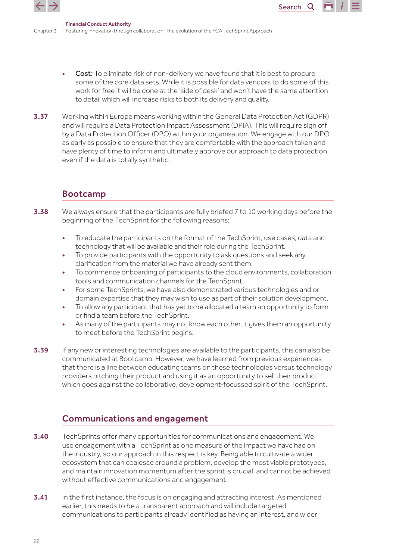

Cost: To eliminate risk of non-delivery we have found that it is best to procure some of the core data sets. While it is possible for data vendors to do some of this work for free it will be done at the 'side of desk' and won't have the same attention to detail which will increase risks to both its delivery and quality.

Search<sub>Q</sub>

**3.37** Working within Europe means working within the General Data Protection Act (GDPR) and will require a Data Protection Impact Assessment (DPIA). This will require sign off by a Data Protection Officer (DPO) within your organisation. We engage with our DPO as early as possible to ensure that they are comfortable with the approach taken and have plenty of time to inform and ultimately approve our approach to data protection, even if the data is totally synthetic.

# Bootcamp

- **3.38** We always ensure that the participants are fully briefed 7 to 10 working days before the beginning of the TechSprint for the following reasons:
	- To educate the participants on the format of the TechSprint, use cases, data and technology that will be available and their role during the TechSprint.
	- To provide participants with the opportunity to ask questions and seek any clarification from the material we have already sent them.
	- To commence onboarding of participants to the cloud environments, collaboration tools and communication channels for the TechSprint,
	- For some TechSprints, we have also demonstrated various technologies and or domain expertise that they may wish to use as part of their solution development.
	- To allow any participant that has yet to be allocated a team an opportunity to form or find a team before the TechSprint.
	- As many of the participants may not know each other, it gives them an opportunity to meet before the TechSprint begins.
- 3.39 If any new or interesting technologies are available to the participants, this can also be communicated at Bootcamp. However, we have learned from previous experiences that there is a line between educating teams on these technologies versus technology providers pitching their product and using it as an opportunity to sell their product which goes against the collaborative, development-focussed spirit of the TechSprint.

# Communications and engagement

- 3.40 TechSprints offer many opportunities for communications and engagement. We use engagement with a TechSprint as one measure of the impact we have had on the industry, so our approach in this respect is key. Being able to cultivate a wider ecosystem that can coalesce around a problem, develop the most viable prototypes, and maintain innovation momentum after the sprint is crucial, and cannot be achieved without effective communications and engagement.
- **3.41** In the first instance, the focus is on engaging and attracting interest. As mentioned earlier, this needs to be a transparent approach and will include targeted communications to participants already identified as having an interest, and wider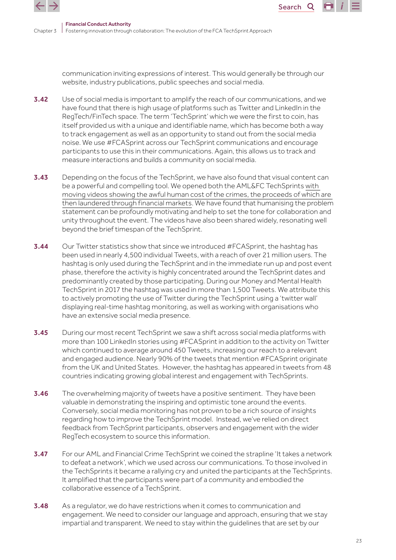

communication inviting expressions of interest. This would generally be through our website, industry publications, public speeches and social media.

Search<sub>Q</sub>

- **3.42** Use of social media is important to amplify the reach of our communications, and we have found that there is high usage of platforms such as Twitter and LinkedIn in the RegTech/FinTech space. The term 'TechSprint' which we were the first to coin, has itself provided us with a unique and identifiable name, which has become both a way to track engagement as well as an opportunity to stand out from the social media noise. We use #FCASprint across our TechSprint communications and encourage participants to use this in their communications. Again, this allows us to track and measure interactions and builds a community on social media.
- **3.43** Depending on the focus of the TechSprint, we have also found that visual content can be a powerful and compelling tool. We opened both the AML&FC TechSprints [with](https://play.buto.tv/9ZVk3)  [moving videos showing the awful human cost of the crimes, the proceeds of which are](https://play.buto.tv/9ZVk3)  [then laundered through financial markets](https://play.buto.tv/9ZVk3). We have found that humanising the problem statement can be profoundly motivating and help to set the tone for collaboration and unity throughout the event. The videos have also been shared widely, resonating well beyond the brief timespan of the TechSprint.
- **3.44** Our Twitter statistics show that since we introduced #FCASprint, the hashtag has been used in nearly 4,500 individual Tweets, with a reach of over 21 million users. The hashtag is only used during the TechSprint and in the immediate run up and post event phase, therefore the activity is highly concentrated around the TechSprint dates and predominantly created by those participating. During our Money and Mental Health TechSprint in 2017 the hashtag was used in more than 1,500 Tweets. We attribute this to actively promoting the use of Twitter during the TechSprint using a 'twitter wall' displaying real-time hashtag monitoring, as well as working with organisations who have an extensive social media presence.
- 3.45 During our most recent TechSprint we saw a shift across social media platforms with more than 100 LinkedIn stories using #FCASprint in addition to the activity on Twitter which continued to average around 450 Tweets, increasing our reach to a relevant and engaged audience. Nearly 90% of the tweets that mention #FCASprint originate from the UK and United States. However, the hashtag has appeared in tweets from 48 countries indicating growing global interest and engagement with TechSprints.
- **3.46** The overwhelming majority of tweets have a positive sentiment. They have been valuable in demonstrating the inspiring and optimistic tone around the events. Conversely, social media monitoring has not proven to be a rich source of insights regarding how to improve the TechSprint model. Instead, we've relied on direct feedback from TechSprint participants, observers and engagement with the wider RegTech ecosystem to source this information.
- **3.47** For our AML and Financial Crime TechSprint we coined the strapline 'It takes a network to defeat a network', which we used across our communications. To those involved in the TechSprints it became a rallying cry and united the participants at the TechSprints. It amplified that the participants were part of a community and embodied the collaborative essence of a TechSprint.
- **3.48** As a regulator, we do have restrictions when it comes to communication and engagement. We need to consider our language and approach, ensuring that we stay impartial and transparent. We need to stay within the guidelines that are set by our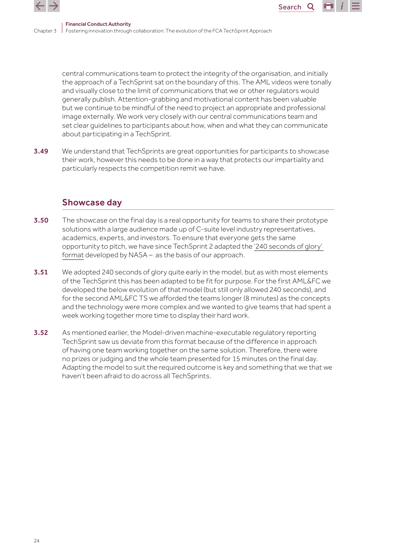

central communications team to protect the integrity of the organisation, and initially the approach of a TechSprint sat on the boundary of this. The AML videos were tonally and visually close to the limit of communications that we or other regulators would generally publish. Attention-grabbing and motivational content has been valuable but we continue to be mindful of the need to project an appropriate and professional image externally. We work very closely with our central communications team and set clear guidelines to participants about how, when and what they can communicate about participating in a TechSprint.

Search<sub>Q</sub>

**3.49** We understand that TechSprints are great opportunities for participants to showcase their work, however this needs to be done in a way that protects our impartiality and particularly respects the competition remit we have.

### Showcase day

- **3.50** The showcase on the final day is a real opportunity for teams to share their prototype solutions with a large audience made up of C-suite level industry representatives, academics, experts, and investors. To ensure that everyone gets the same opportunity to pitch, we have since TechSprint 2 adapted the ['240 seconds of glory'](https://www.spaceappschallenge.org/about/judging/)  [format](https://www.spaceappschallenge.org/about/judging/) developed by NASA – as the basis of our approach.
- 3.51 We adopted 240 seconds of glory quite early in the model, but as with most elements of the TechSprint this has been adapted to be fit for purpose. For the first AML&FC we developed the below evolution of that model (but still only allowed 240 seconds), and for the second AML&FC TS we afforded the teams longer (8 minutes) as the concepts and the technology were more complex and we wanted to give teams that had spent a week working together more time to display their hard work.
- 3.52 As mentioned earlier, the Model-driven machine-executable regulatory reporting TechSprint saw us deviate from this format because of the difference in approach of having one team working together on the same solution. Therefore, there were no prizes or judging and the whole team presented for 15 minutes on the final day. Adapting the model to suit the required outcome is key and something that we that we haven't been afraid to do across all TechSprints.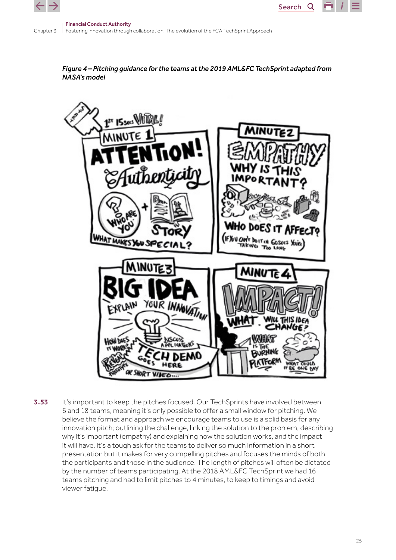



Search<sub>Q</sub>



3.53 It's important to keep the pitches focused. Our TechSprints have involved between 6 and 18 teams, meaning it's only possible to offer a small window for pitching. We believe the format and approach we encourage teams to use is a solid basis for any innovation pitch; outlining the challenge, linking the solution to the problem, describing why it's important (empathy) and explaining how the solution works, and the impact it will have. It's a tough ask for the teams to deliver so much information in a short presentation but it makes for very compelling pitches and focuses the minds of both the participants and those in the audience. The length of pitches will often be dictated by the number of teams participating. At the 2018 AML&FC TechSprint we had 16 teams pitching and had to limit pitches to 4 minutes, to keep to timings and avoid viewer fatigue.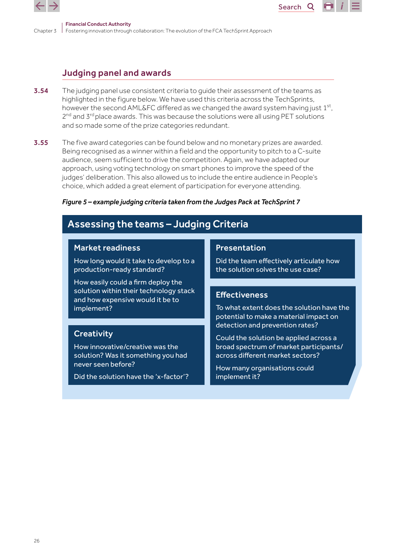

# Judging panel and awards

- **3.54** The judging panel use consistent criteria to quide their assessment of the teams as highlighted in the figure below. We have used this criteria across the TechSprints, however the second AML&FC differed as we changed the award system having just 1<sup>st</sup>,  $2<sup>nd</sup>$  and  $3<sup>rd</sup>$  place awards. This was because the solutions were all using PET solutions and so made some of the prize categories redundant.
- **3.55** The five award categories can be found below and no monetary prizes are awarded. Being recognised as a winner within a field and the opportunity to pitch to a C-suite audience, seem sufficient to drive the competition. Again, we have adapted our approach, using voting technology on smart phones to improve the speed of the judges' deliberation. This also allowed us to include the entire audience in People's choice, which added a great element of participation for everyone attending.

### *Figure 5 – example judging criteria taken from the Judges Pack at TechSprint 7*

# Assessing the teams – Judging Criteria

### Market readiness

How long would it take to develop to a production-ready standard?

How easily could a firm deploy the solution within their technology stack and how expensive would it be to implement?

## **Creativity**

How innovative/creative was the solution? Was it something you had never seen before?

Did the solution have the 'x-factor'?

### Presentation

Did the team effectively articulate how the solution solves the use case?

Search<sub>Q</sub>

### **Effectiveness**

To what extent does the solution have the potential to make a material impact on detection and prevention rates?

Could the solution be applied across a broad spectrum of market participants/ across different market sectors?

How many organisations could implement it?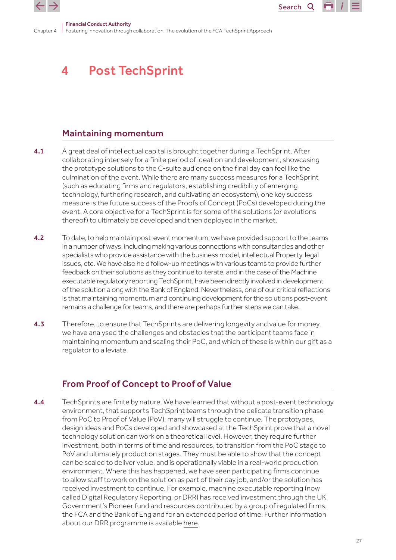<span id="page-26-0"></span>

Search<sub>Q</sub>

Chapter 4 Fostering innovation through collaboration: The evolution of the FCA TechSprint Approach Financial Conduct Authority

# 4 Post TechSprint

# Maintaining momentum

- 4.1 A great deal of intellectual capital is brought together during a TechSprint. After collaborating intensely for a finite period of ideation and development, showcasing the prototype solutions to the C-suite audience on the final day can feel like the culmination of the event. While there are many success measures for a TechSprint (such as educating firms and regulators, establishing credibility of emerging technology, furthering research, and cultivating an ecosystem), one key success measure is the future success of the Proofs of Concept (PoCs) developed during the event. A core objective for a TechSprint is for some of the solutions (or evolutions thereof) to ultimately be developed and then deployed in the market.
- 4.2 To date, to help maintain post-event momentum, we have provided support to the teams in a number of ways, including making various connections with consultancies and other specialists who provide assistance with the business model, intellectual Property, legal issues, etc. We have also held follow-up meetings with various teams to provide further feedback on their solutions as they continue to iterate, and in the case of the Machine executable regulatory reporting TechSprint, have been directly involved in development of the solution along with the Bank of England. Nevertheless, one of our critical reflections is that maintaining momentum and continuing development for the solutions post-event remains a challenge for teams, and there are perhaps further steps we can take.
- 4.3 Therefore, to ensure that TechSprints are delivering longevity and value for money. we have analysed the challenges and obstacles that the participant teams face in maintaining momentum and scaling their PoC, and which of these is within our gift as a regulator to alleviate.

# From Proof of Concept to Proof of Value

4.4 TechSprints are finite by nature. We have learned that without a post-event technology environment, that supports TechSprint teams through the delicate transition phase from PoC to Proof of Value (PoV), many will struggle to continue. The prototypes, design ideas and PoCs developed and showcased at the TechSprint prove that a novel technology solution can work on a theoretical level. However, they require further investment, both in terms of time and resources, to transition from the PoC stage to PoV and ultimately production stages. They must be able to show that the concept can be scaled to deliver value, and is operationally viable in a real-world production environment. Where this has happened, we have seen participating firms continue to allow staff to work on the solution as part of their day job, and/or the solution has received investment to continue. For example, machine executable reporting (now called Digital Regulatory Reporting, or DRR) has received investment through the UK Government's Pioneer fund and resources contributed by a group of regulated firms, the FCA and the Bank of England for an extended period of time. Further information about our DRR programme is available [here.](https://www.fca.org.uk/innovation/regtech/digital-regulatory-reporting)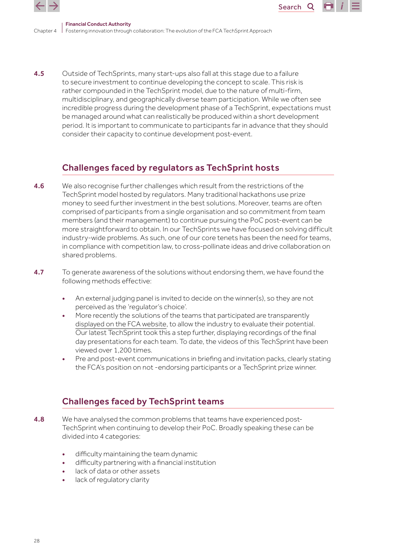

Chapter 4 Fostering innovation through collaboration: The evolution of the FCA TechSprint Approach Financial Conduct Authority

4.5 Outside of TechSprints, many start-ups also fall at this stage due to a failure to secure investment to continue developing the concept to scale. This risk is rather compounded in the TechSprint model, due to the nature of multi-firm, multidisciplinary, and geographically diverse team participation. While we often see incredible progress during the development phase of a TechSprint, expectations must be managed around what can realistically be produced within a short development period. It is important to communicate to participants far in advance that they should consider their capacity to continue development post-event.

Search<sub>Q</sub>

# Challenges faced by regulators as TechSprint hosts

- 4.6 We also recognise further challenges which result from the restrictions of the TechSprint model hosted by regulators. Many traditional hackathons use prize money to seed further investment in the best solutions. Moreover, teams are often comprised of participants from a single organisation and so commitment from team members (and their management) to continue pursuing the PoC post-event can be more straightforward to obtain. In our TechSprints we have focused on solving difficult industry-wide problems. As such, one of our core tenets has been the need for teams, in compliance with competition law, to cross-pollinate ideas and drive collaboration on shared problems.
- 4.7 To generate awareness of the solutions without endorsing them, we have found the following methods effective:
	- An external judging panel is invited to decide on the winner(s), so they are not perceived as the 'regulator's choice'.
	- More recently the solutions of the teams that participated are transparently [displayed on the FCA website](https://www.fca.org.uk/events/techsprints/2019-global-aml-and-financial-crime-techsprint), to allow the industry to evaluate their potential. Our latest TechSprint took this a step further, displaying recordings of the final day presentations for each team. To date, the videos of this TechSprint have been viewed over 1,200 times.
	- Pre and post-event communications in briefing and invitation packs, clearly stating the FCA's position on not -endorsing participants or a TechSprint prize winner.

# Challenges faced by TechSprint teams

- **4.8** We have analysed the common problems that teams have experienced post-TechSprint when continuing to develop their PoC. Broadly speaking these can be divided into 4 categories:
	- difficulty maintaining the team dynamic
	- difficulty partnering with a financial institution
	- lack of data or other assets
	- lack of regulatory clarity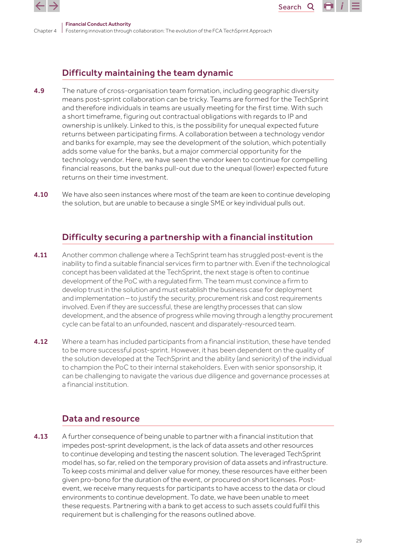

Search<sub>Q</sub>

# Difficulty maintaining the team dynamic

- 4.9 The nature of cross-organisation team formation, including geographic diversity means post-sprint collaboration can be tricky. Teams are formed for the TechSprint and therefore individuals in teams are usually meeting for the first time. With such a short timeframe, figuring out contractual obligations with regards to IP and ownership is unlikely. Linked to this, is the possibility for unequal expected future returns between participating firms. A collaboration between a technology vendor and banks for example, may see the development of the solution, which potentially adds some value for the banks, but a major commercial opportunity for the technology vendor. Here, we have seen the vendor keen to continue for compelling financial reasons, but the banks pull-out due to the unequal (lower) expected future returns on their time investment.
- 4.10 We have also seen instances where most of the team are keen to continue developing the solution, but are unable to because a single SME or key individual pulls out.

# Difficulty securing a partnership with a financial institution

- 4.11 Another common challenge where a TechSprint team has struggled post-event is the inability to find a suitable financial services firm to partner with. Even if the technological concept has been validated at the TechSprint, the next stage is often to continue development of the PoC with a regulated firm. The team must convince a firm to develop trust in the solution and must establish the business case for deployment and implementation – to justify the security, procurement risk and cost requirements involved. Even if they are successful, these are lengthy processes that can slow development, and the absence of progress while moving through a lengthy procurement cycle can be fatal to an unfounded, nascent and disparately-resourced team.
- **4.12** Where a team has included participants from a financial institution, these have tended to be more successful post-sprint. However, it has been dependent on the quality of the solution developed at the TechSprint and the ability (and seniority) of the individual to champion the PoC to their internal stakeholders. Even with senior sponsorship, it can be challenging to navigate the various due diligence and governance processes at a financial institution.

# Data and resource

4.13 A further consequence of being unable to partner with a financial institution that impedes post-sprint development, is the lack of data assets and other resources to continue developing and testing the nascent solution. The leveraged TechSprint model has, so far, relied on the temporary provision of data assets and infrastructure. To keep costs minimal and deliver value for money, these resources have either been given pro-bono for the duration of the event, or procured on short licenses. Postevent, we receive many requests for participants to have access to the data or cloud environments to continue development. To date, we have been unable to meet these requests. Partnering with a bank to get access to such assets could fulfil this requirement but is challenging for the reasons outlined above.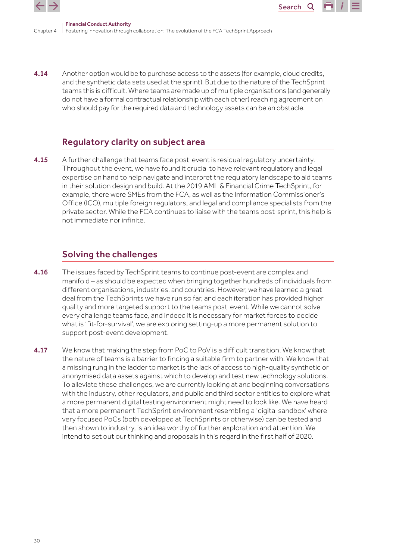

Chapter 4 Fostering innovation through collaboration: The evolution of the FCA TechSprint Approach Financial Conduct Authority

4.14 Another option would be to purchase access to the assets (for example, cloud credits, and the synthetic data sets used at the sprint). But due to the nature of the TechSprint teams this is difficult. Where teams are made up of multiple organisations (and generally do not have a formal contractual relationship with each other) reaching agreement on who should pay for the required data and technology assets can be an obstacle.

Search<sub>Q</sub>

# Regulatory clarity on subject area

4.15 A further challenge that teams face post-event is residual regulatory uncertainty. Throughout the event, we have found it crucial to have relevant regulatory and legal expertise on hand to help navigate and interpret the regulatory landscape to aid teams in their solution design and build. At the 2019 AML & Financial Crime TechSprint, for example, there were SMEs from the FCA, as well as the Information Commissioner's Office (ICO), multiple foreign regulators, and legal and compliance specialists from the private sector. While the FCA continues to liaise with the teams post-sprint, this help is not immediate nor infinite.

# Solving the challenges

- 4.16 The issues faced by TechSprint teams to continue post-event are complex and manifold – as should be expected when bringing together hundreds of individuals from different organisations, industries, and countries. However, we have learned a great deal from the TechSprints we have run so far, and each iteration has provided higher quality and more targeted support to the teams post-event. While we cannot solve every challenge teams face, and indeed it is necessary for market forces to decide what is 'fit-for-survival', we are exploring setting-up a more permanent solution to support post-event development.
- 4.17 We know that making the step from PoC to PoV is a difficult transition. We know that the nature of teams is a barrier to finding a suitable firm to partner with. We know that a missing rung in the ladder to market is the lack of access to high-quality synthetic or anonymised data assets against which to develop and test new technology solutions. To alleviate these challenges, we are currently looking at and beginning conversations with the industry, other regulators, and public and third sector entities to explore what a more permanent digital testing environment might need to look like. We have heard that a more permanent TechSprint environment resembling a 'digital sandbox' where very focused PoCs (both developed at TechSprints or otherwise) can be tested and then shown to industry, is an idea worthy of further exploration and attention. We intend to set out our thinking and proposals in this regard in the first half of 2020.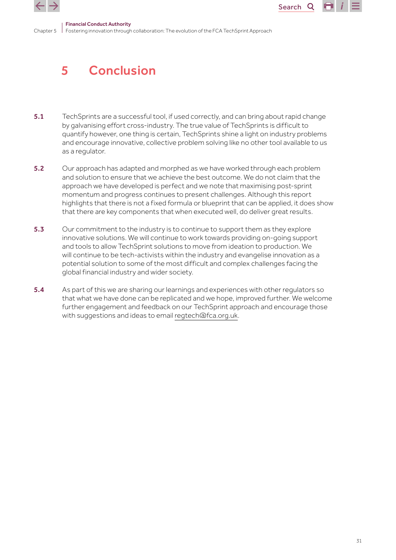<span id="page-30-0"></span>

### Financial Conduct Authority

Chapter 5 Fostering innovation through collaboration: The evolution of the FCA TechSprint Approach

# 5 Conclusion

- 5.1 TechSprints are a successful tool, if used correctly, and can bring about rapid change by galvanising effort cross-industry. The true value of TechSprints is difficult to quantify however, one thing is certain, TechSprints shine a light on industry problems and encourage innovative, collective problem solving like no other tool available to us as a regulator.
- 5.2 Our approach has adapted and morphed as we have worked through each problem and solution to ensure that we achieve the best outcome. We do not claim that the approach we have developed is perfect and we note that maximising post-sprint momentum and progress continues to present challenges. Although this report highlights that there is not a fixed formula or blueprint that can be applied, it does show that there are key components that when executed well, do deliver great results.
- 5.3 Our commitment to the industry is to continue to support them as they explore innovative solutions. We will continue to work towards providing on-going support and tools to allow TechSprint solutions to move from ideation to production. We will continue to be tech-activists within the industry and evangelise innovation as a potential solution to some of the most difficult and complex challenges facing the global financial industry and wider society.
- 5.4 As part of this we are sharing our learnings and experiences with other regulators so that what we have done can be replicated and we hope, improved further. We welcome further engagement and feedback on our TechSprint approach and encourage those with suggestions and ideas to email [regtech@fca.org.uk.](mailto:regtech@fca.org.uk)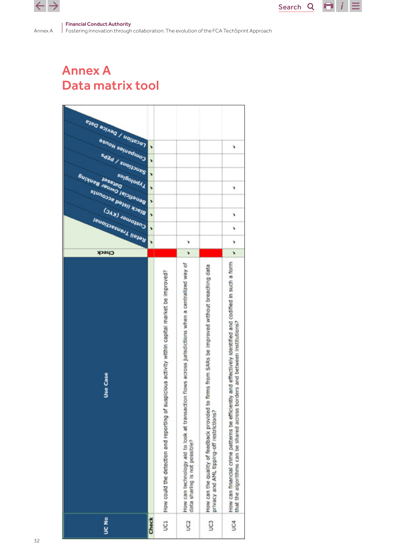<span id="page-31-0"></span> $\leftarrow$   $\rightarrow$ 

Annex A

Search  $Q$   $\Box$   $i \equiv$ 

#### Financial Conduct Authority

Fostering innovation through collaboration: The evolution of the FCA TechSprint Approach

# Annex A Data matrix tool

| <b>CONDON / DEVICE DATE</b><br><b>eshoH</b> selueduac<br>3<br>١<br>Banctions / PEPs<br>,<br>,<br><b>Bulling</b><br>saj6olodk1<br><b>JaseJed</b><br>Jaumo lepuauae<br>,<br>¥<br>Black listed accounts<br>,<br>CAN JOURNAL<br>,<br>¥<br><b>Ieuolisesuell liejan</b><br>7<br>r<br>,<br>y<br>¥<br>Check<br>s<br>r<br>How can financial crime patterns be efficiently and effectively identified and codified in such a form<br>How can technology aid to look at transaction flows across jurisdictions when a centralized way of<br>firms from SARs be improved without breaching data<br>UC1   How could the detection and reporting of suspicious activity within capital market be improved?<br>that the algorithms can be shared across borders and between institutions?<br>Use Case<br>How can the quality of feedback provided to<br>privacy and AML tipping-off restrictions?<br>data sharing is not possible?<br><b>SK</b><br><b>Check</b><br>g<br>ğ<br>g |  |  |  |
|-----------------------------------------------------------------------------------------------------------------------------------------------------------------------------------------------------------------------------------------------------------------------------------------------------------------------------------------------------------------------------------------------------------------------------------------------------------------------------------------------------------------------------------------------------------------------------------------------------------------------------------------------------------------------------------------------------------------------------------------------------------------------------------------------------------------------------------------------------------------------------------------------------------------------------------------------------------------|--|--|--|
|                                                                                                                                                                                                                                                                                                                                                                                                                                                                                                                                                                                                                                                                                                                                                                                                                                                                                                                                                                 |  |  |  |
|                                                                                                                                                                                                                                                                                                                                                                                                                                                                                                                                                                                                                                                                                                                                                                                                                                                                                                                                                                 |  |  |  |
|                                                                                                                                                                                                                                                                                                                                                                                                                                                                                                                                                                                                                                                                                                                                                                                                                                                                                                                                                                 |  |  |  |
|                                                                                                                                                                                                                                                                                                                                                                                                                                                                                                                                                                                                                                                                                                                                                                                                                                                                                                                                                                 |  |  |  |
|                                                                                                                                                                                                                                                                                                                                                                                                                                                                                                                                                                                                                                                                                                                                                                                                                                                                                                                                                                 |  |  |  |
|                                                                                                                                                                                                                                                                                                                                                                                                                                                                                                                                                                                                                                                                                                                                                                                                                                                                                                                                                                 |  |  |  |
|                                                                                                                                                                                                                                                                                                                                                                                                                                                                                                                                                                                                                                                                                                                                                                                                                                                                                                                                                                 |  |  |  |
|                                                                                                                                                                                                                                                                                                                                                                                                                                                                                                                                                                                                                                                                                                                                                                                                                                                                                                                                                                 |  |  |  |
|                                                                                                                                                                                                                                                                                                                                                                                                                                                                                                                                                                                                                                                                                                                                                                                                                                                                                                                                                                 |  |  |  |
|                                                                                                                                                                                                                                                                                                                                                                                                                                                                                                                                                                                                                                                                                                                                                                                                                                                                                                                                                                 |  |  |  |
|                                                                                                                                                                                                                                                                                                                                                                                                                                                                                                                                                                                                                                                                                                                                                                                                                                                                                                                                                                 |  |  |  |
|                                                                                                                                                                                                                                                                                                                                                                                                                                                                                                                                                                                                                                                                                                                                                                                                                                                                                                                                                                 |  |  |  |
|                                                                                                                                                                                                                                                                                                                                                                                                                                                                                                                                                                                                                                                                                                                                                                                                                                                                                                                                                                 |  |  |  |
|                                                                                                                                                                                                                                                                                                                                                                                                                                                                                                                                                                                                                                                                                                                                                                                                                                                                                                                                                                 |  |  |  |
|                                                                                                                                                                                                                                                                                                                                                                                                                                                                                                                                                                                                                                                                                                                                                                                                                                                                                                                                                                 |  |  |  |
|                                                                                                                                                                                                                                                                                                                                                                                                                                                                                                                                                                                                                                                                                                                                                                                                                                                                                                                                                                 |  |  |  |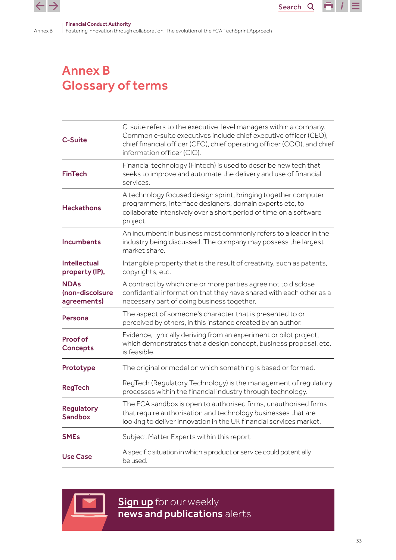<span id="page-32-0"></span>Annex B

Fostering innovation through collaboration: The evolution of the FCA TechSprint Approach

# Annex B Glossary of terms

| C-Suite                                       | C-suite refers to the executive-level managers within a company.<br>Common c-suite executives include chief executive officer (CEO),<br>chief financial officer (CFO), chief operating officer (COO), and chief<br>information officer (CIO). |  |  |  |  |  |
|-----------------------------------------------|-----------------------------------------------------------------------------------------------------------------------------------------------------------------------------------------------------------------------------------------------|--|--|--|--|--|
| <b>FinTech</b>                                | Financial technology (Fintech) is used to describe new tech that<br>seeks to improve and automate the delivery and use of financial<br>services.                                                                                              |  |  |  |  |  |
| <b>Hackathons</b>                             | A technology focused design sprint, bringing together computer<br>programmers, interface designers, domain experts etc, to<br>collaborate intensively over a short period of time on a software<br>project.                                   |  |  |  |  |  |
| <b>Incumbents</b>                             | An incumbent in business most commonly refers to a leader in the<br>industry being discussed. The company may possess the largest<br>market share.                                                                                            |  |  |  |  |  |
| <b>Intellectual</b><br>property (IP),         | Intangible property that is the result of creativity, such as patents,<br>copyrights, etc.                                                                                                                                                    |  |  |  |  |  |
| <b>NDAs</b><br>(non-discolsure<br>agreements) | A contract by which one or more parties agree not to disclose<br>confidential information that they have shared with each other as a<br>necessary part of doing business together.                                                            |  |  |  |  |  |
| Persona                                       | The aspect of someone's character that is presented to or<br>perceived by others, in this instance created by an author.                                                                                                                      |  |  |  |  |  |
| <b>Proof of</b><br><b>Concepts</b>            | Evidence, typically deriving from an experiment or pilot project,<br>which demonstrates that a design concept, business proposal, etc.<br>is feasible.                                                                                        |  |  |  |  |  |
| Prototype                                     | The original or model on which something is based or formed.                                                                                                                                                                                  |  |  |  |  |  |
| <b>RegTech</b>                                | RegTech (Regulatory Technology) is the management of regulatory<br>processes within the financial industry through technology.                                                                                                                |  |  |  |  |  |
| <b>Regulatory</b><br><b>Sandbox</b>           | The FCA sandbox is open to authorised firms, unauthorised firms<br>that require authorisation and technology businesses that are<br>looking to deliver innovation in the UK financial services market.                                        |  |  |  |  |  |
| <b>SME<sub>s</sub></b>                        | Subject Matter Experts within this report                                                                                                                                                                                                     |  |  |  |  |  |
| <b>Use Case</b>                               | A specific situation in which a product or service could potentially<br>be used.                                                                                                                                                              |  |  |  |  |  |



**[Sign up](https://www.fca.org.uk/news-and-publications-weekly-email-alerts?doc=#utm_source=signup&utm_medium=document&utm_campaign=newsandpubs)** for our weekly news and publications alerts